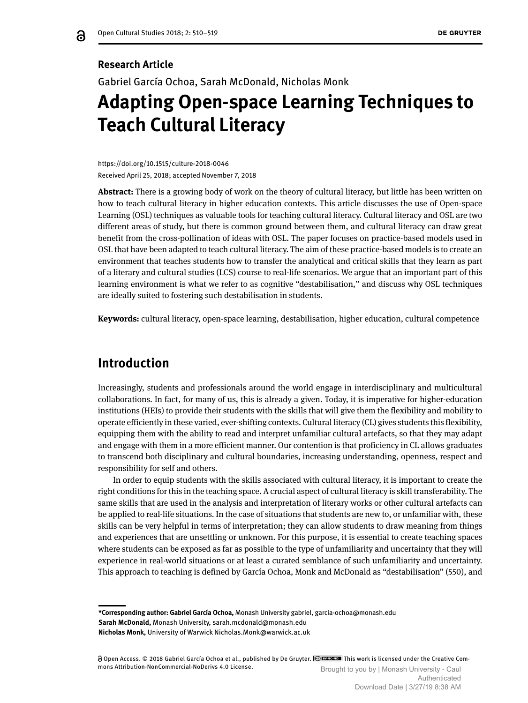## **Research Article**

ஜ

Gabriel García Ochoa, Sarah McDonald, Nicholas Monk

# **Adapting Open-space Learning Techniques to Teach Cultural Literacy**

https://doi.org/10.1515/culture-2018-0046 Received April 25, 2018; accepted November 7, 2018

**Abstract:** There is a growing body of work on the theory of cultural literacy, but little has been written on how to teach cultural literacy in higher education contexts. This article discusses the use of Open-space Learning (OSL) techniques as valuable tools for teaching cultural literacy. Cultural literacy and OSL are two different areas of study, but there is common ground between them, and cultural literacy can draw great benefit from the cross-pollination of ideas with OSL. The paper focuses on practice-based models used in OSL that have been adapted to teach cultural literacy. The aim of these practice-based models is to create an environment that teaches students how to transfer the analytical and critical skills that they learn as part of a literary and cultural studies (LCS) course to real-life scenarios. We argue that an important part of this learning environment is what we refer to as cognitive "destabilisation," and discuss why OSL techniques are ideally suited to fostering such destabilisation in students.

**Keywords:** cultural literacy, open-space learning, destabilisation, higher education, cultural competence

## **Introduction**

Increasingly, students and professionals around the world engage in interdisciplinary and multicultural collaborations. In fact, for many of us, this is already a given. Today, it is imperative for higher-education institutions (HEIs) to provide their students with the skills that will give them the flexibility and mobility to operate efficiently in these varied, ever-shifting contexts. Cultural literacy (CL) gives students this flexibility, equipping them with the ability to read and interpret unfamiliar cultural artefacts, so that they may adapt and engage with them in a more efficient manner. Our contention is that proficiency in CL allows graduates to transcend both disciplinary and cultural boundaries, increasing understanding, openness, respect and responsibility for self and others.

In order to equip students with the skills associated with cultural literacy, it is important to create the right conditions for this in the teaching space. A crucial aspect of cultural literacy is skill transferability. The same skills that are used in the analysis and interpretation of literary works or other cultural artefacts can be applied to real-life situations. In the case of situations that students are new to, or unfamiliar with, these skills can be very helpful in terms of interpretation; they can allow students to draw meaning from things and experiences that are unsettling or unknown. For this purpose, it is essential to create teaching spaces where students can be exposed as far as possible to the type of unfamiliarity and uncertainty that they will experience in real-world situations or at least a curated semblance of such unfamiliarity and uncertainty. This approach to teaching is defined by García Ochoa, Monk and McDonald as "destabilisation" (550), and

**\*Corresponding author: Gabriel García Ochoa,** Monash University gabriel, garcia-ochoa@monash.edu **Sarah McDonald,** Monash University, sarah.mcdonald@monash.edu **Nicholas Monk,** University of Warwick Nicholas.Monk@warwick.ac.uk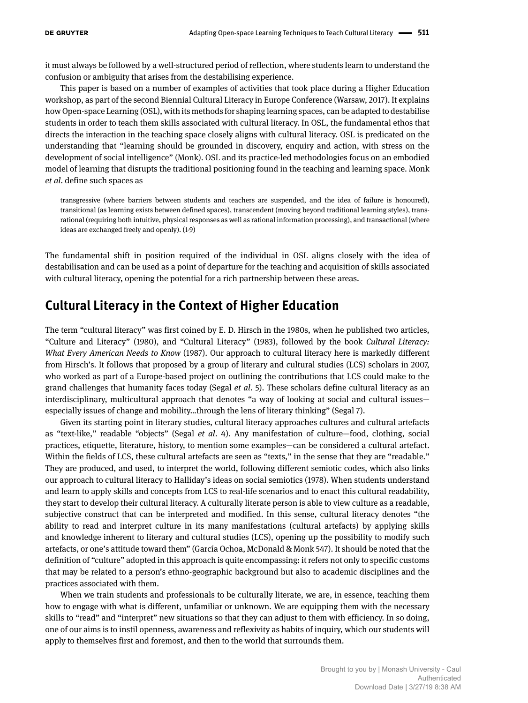it must always be followed by a well-structured period of reflection, where students learn to understand the confusion or ambiguity that arises from the destabilising experience.

This paper is based on a number of examples of activities that took place during a Higher Education workshop, as part of the second Biennial Cultural Literacy in Europe Conference (Warsaw, 2017). It explains how Open-space Learning (OSL), with its methods for shaping learning spaces, can be adapted to destabilise students in order to teach them skills associated with cultural literacy. In OSL, the fundamental ethos that directs the interaction in the teaching space closely aligns with cultural literacy. OSL is predicated on the understanding that "learning should be grounded in discovery, enquiry and action, with stress on the development of social intelligence" (Monk). OSL and its practice-led methodologies focus on an embodied model of learning that disrupts the traditional positioning found in the teaching and learning space. Monk *et al*. define such spaces as

transgressive (where barriers between students and teachers are suspended, and the idea of failure is honoured), transitional (as learning exists between defined spaces), transcendent (moving beyond traditional learning styles), transrational (requiring both intuitive, physical responses as well as rational information processing), and transactional (where ideas are exchanged freely and openly). (1-9)

The fundamental shift in position required of the individual in OSL aligns closely with the idea of destabilisation and can be used as a point of departure for the teaching and acquisition of skills associated with cultural literacy, opening the potential for a rich partnership between these areas.

## **Cultural Literacy in the Context of Higher Education**

The term "cultural literacy" was first coined by E. D. Hirsch in the 1980s, when he published two articles, "Culture and Literacy" (1980), and "Cultural Literacy" (1983), followed by the book *Cultural Literacy: What Every American Needs to Know* (1987). Our approach to cultural literacy here is markedly different from Hirsch's. It follows that proposed by a group of literary and cultural studies (LCS) scholars in 2007, who worked as part of a Europe-based project on outlining the contributions that LCS could make to the grand challenges that humanity faces today (Segal *et al*. 5). These scholars define cultural literacy as an interdisciplinary, multicultural approach that denotes "a way of looking at social and cultural issues especially issues of change and mobility…through the lens of literary thinking" (Segal 7).

Given its starting point in literary studies, cultural literacy approaches cultures and cultural artefacts as "text-like," readable "objects" (Segal *et al*. 4). Any manifestation of culture—food, clothing, social practices, etiquette, literature, history, to mention some examples—can be considered a cultural artefact. Within the fields of LCS, these cultural artefacts are seen as "texts," in the sense that they are "readable." They are produced, and used, to interpret the world, following different semiotic codes, which also links our approach to cultural literacy to Halliday's ideas on social semiotics (1978). When students understand and learn to apply skills and concepts from LCS to real-life scenarios and to enact this cultural readability, they start to develop their cultural literacy. A culturally literate person is able to view culture as a readable, subjective construct that can be interpreted and modified. In this sense, cultural literacy denotes "the ability to read and interpret culture in its many manifestations (cultural artefacts) by applying skills and knowledge inherent to literary and cultural studies (LCS), opening up the possibility to modify such artefacts, or one's attitude toward them" (García Ochoa, McDonald & Monk 547). It should be noted that the definition of "culture" adopted in this approach is quite encompassing: it refers not only to specific customs that may be related to a person's ethno-geographic background but also to academic disciplines and the practices associated with them.

When we train students and professionals to be culturally literate, we are, in essence, teaching them how to engage with what is different, unfamiliar or unknown. We are equipping them with the necessary skills to "read" and "interpret" new situations so that they can adjust to them with efficiency. In so doing, one of our aims is to instil openness, awareness and reflexivity as habits of inquiry, which our students will apply to themselves first and foremost, and then to the world that surrounds them.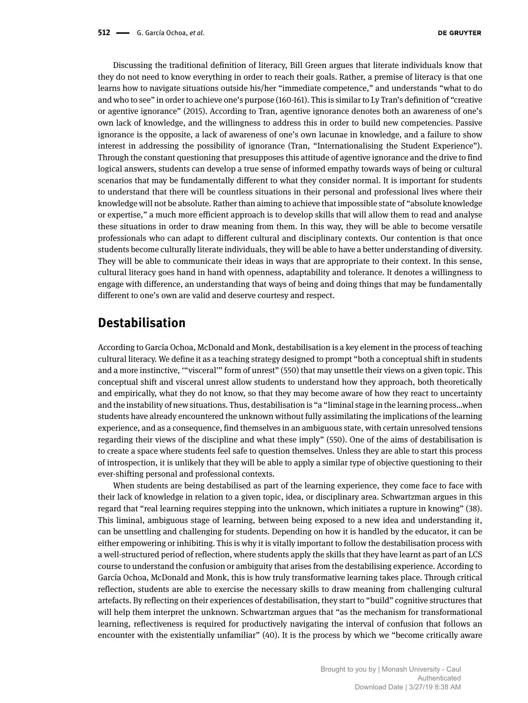Discussing the traditional definition of literacy, Bill Green argues that literate individuals know that they do not need to know everything in order to reach their goals. Rather, a premise of literacy is that one learns how to navigate situations outside his/her "immediate competence," and understands "what to do and who to see" in order to achieve one's purpose (160-161). This is similar to Ly Tran's definition of "creative or agentive ignorance" (2015). According to Tran, agentive ignorance denotes both an awareness of one's own lack of knowledge, and the willingness to address this in order to build new competencies. Passive ignorance is the opposite, a lack of awareness of one's own lacunae in knowledge, and a failure to show interest in addressing the possibility of ignorance (Tran, "Internationalising the Student Experience"). Through the constant questioning that presupposes this attitude of agentive ignorance and the drive to find logical answers, students can develop a true sense of informed empathy towards ways of being or cultural scenarios that may be fundamentally different to what they consider normal. It is important for students to understand that there will be countless situations in their personal and professional lives where their knowledge will not be absolute. Rather than aiming to achieve that impossible state of "absolute knowledge or expertise," a much more efficient approach is to develop skills that will allow them to read and analyse these situations in order to draw meaning from them. In this way, they will be able to become versatile professionals who can adapt to different cultural and disciplinary contexts. Our contention is that once students become culturally literate individuals, they will be able to have a better understanding of diversity. They will be able to communicate their ideas in ways that are appropriate to their context. In this sense, cultural literacy goes hand in hand with openness, adaptability and tolerance. It denotes a willingness to engage with difference, an understanding that ways of being and doing things that may be fundamentally different to one's own are valid and deserve courtesy and respect.

## **Destabilisation**

According to García Ochoa, McDonald and Monk, destabilisation is a key element in the process of teaching cultural literacy. We define it as a teaching strategy designed to prompt "both a conceptual shift in students and a more instinctive, '"visceral'" form of unrest" (550) that may unsettle their views on a given topic. This conceptual shift and visceral unrest allow students to understand how they approach, both theoretically and empirically, what they do not know, so that they may become aware of how they react to uncertainty and the instability of new situations. Thus, destabilisation is "a "liminal stage in the learning process…when students have already encountered the unknown without fully assimilating the implications of the learning experience, and as a consequence, find themselves in an ambiguous state, with certain unresolved tensions regarding their views of the discipline and what these imply" (550). One of the aims of destabilisation is to create a space where students feel safe to question themselves. Unless they are able to start this process of introspection, it is unlikely that they will be able to apply a similar type of objective questioning to their ever-shifting personal and professional contexts.

When students are being destabilised as part of the learning experience, they come face to face with their lack of knowledge in relation to a given topic, idea, or disciplinary area. Schwartzman argues in this regard that "real learning requires stepping into the unknown, which initiates a rupture in knowing" (38). This liminal, ambiguous stage of learning, between being exposed to a new idea and understanding it, can be unsettling and challenging for students. Depending on how it is handled by the educator, it can be either empowering or inhibiting. This is why it is vitally important to follow the destabilisation process with a well-structured period of reflection, where students apply the skills that they have learnt as part of an LCS course to understand the confusion or ambiguity that arises from the destabilising experience. According to García Ochoa, McDonald and Monk, this is how truly transformative learning takes place. Through critical reflection, students are able to exercise the necessary skills to draw meaning from challenging cultural artefacts. By reflecting on their experiences of destabilisation, they start to "build" cognitive structures that will help them interpret the unknown. Schwartzman argues that "as the mechanism for transformational learning, reflectiveness is required for productively navigating the interval of confusion that follows an encounter with the existentially unfamiliar" (40). It is the process by which we "become critically aware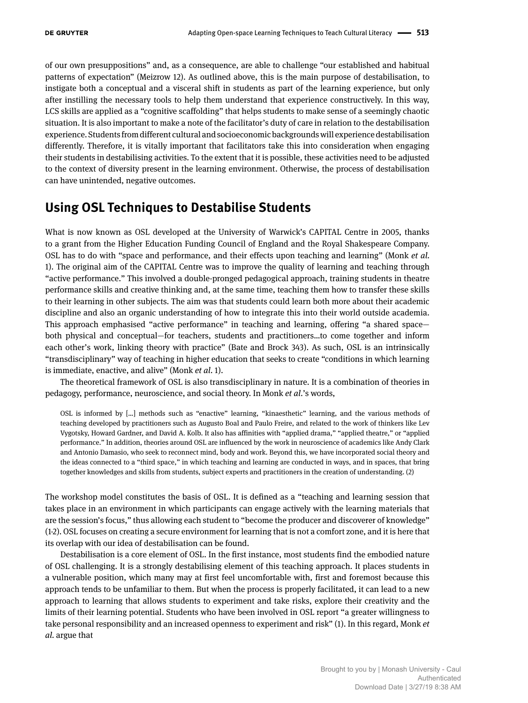of our own presuppositions" and, as a consequence, are able to challenge "our established and habitual patterns of expectation" (Meizrow 12). As outlined above, this is the main purpose of destabilisation, to instigate both a conceptual and a visceral shift in students as part of the learning experience, but only after instilling the necessary tools to help them understand that experience constructively. In this way, LCS skills are applied as a "cognitive scaffolding" that helps students to make sense of a seemingly chaotic situation. It is also important to make a note of the facilitator's duty of care in relation to the destabilisation experience. Students from different cultural and socioeconomic backgrounds will experience destabilisation differently. Therefore, it is vitally important that facilitators take this into consideration when engaging their students in destabilising activities. To the extent that it is possible, these activities need to be adjusted to the context of diversity present in the learning environment. Otherwise, the process of destabilisation can have unintended, negative outcomes.

# **Using OSL Techniques to Destabilise Students**

What is now known as OSL developed at the University of Warwick's CAPITAL Centre in 2005, thanks to a grant from the Higher Education Funding Council of England and the Royal Shakespeare Company. OSL has to do with "space and performance, and their effects upon teaching and learning" (Monk *et al.* 1). The original aim of the CAPITAL Centre was to improve the quality of learning and teaching through "active performance." This involved a double-pronged pedagogical approach, training students in theatre performance skills and creative thinking and, at the same time, teaching them how to transfer these skills to their learning in other subjects. The aim was that students could learn both more about their academic discipline and also an organic understanding of how to integrate this into their world outside academia. This approach emphasised "active performance" in teaching and learning, offering "a shared space both physical and conceptual—for teachers, students and practitioners…to come together and inform each other's work, linking theory with practice" (Bate and Brock 343). As such, OSL is an intrinsically "transdisciplinary" way of teaching in higher education that seeks to create "conditions in which learning is immediate, enactive, and alive" (Monk *et al*. 1).

The theoretical framework of OSL is also transdisciplinary in nature. It is a combination of theories in pedagogy, performance, neuroscience, and social theory. In Monk *et al*.'s words,

OSL is informed by […] methods such as "enactive" learning, "kinaesthetic" learning, and the various methods of teaching developed by practitioners such as Augusto Boal and Paulo Freire, and related to the work of thinkers like Lev Vygotsky, Howard Gardner, and David A. Kolb. It also has affinities with "applied drama," "applied theatre," or "applied performance." In addition, theories around OSL are influenced by the work in neuroscience of academics like Andy Clark and Antonio Damasio, who seek to reconnect mind, body and work. Beyond this, we have incorporated social theory and the ideas connected to a "third space," in which teaching and learning are conducted in ways, and in spaces, that bring together knowledges and skills from students, subject experts and practitioners in the creation of understanding. (2)

The workshop model constitutes the basis of OSL. It is defined as a "teaching and learning session that takes place in an environment in which participants can engage actively with the learning materials that are the session's focus," thus allowing each student to "become the producer and discoverer of knowledge" (1-2). OSL focuses on creating a secure environment for learning that is not a comfort zone, and it is here that its overlap with our idea of destabilisation can be found.

Destabilisation is a core element of OSL. In the first instance, most students find the embodied nature of OSL challenging. It is a strongly destabilising element of this teaching approach. It places students in a vulnerable position, which many may at first feel uncomfortable with, first and foremost because this approach tends to be unfamiliar to them. But when the process is properly facilitated, it can lead to a new approach to learning that allows students to experiment and take risks, explore their creativity and the limits of their learning potential. Students who have been involved in OSL report "a greater willingness to take personal responsibility and an increased openness to experiment and risk" (1). In this regard, Monk *et al.* argue that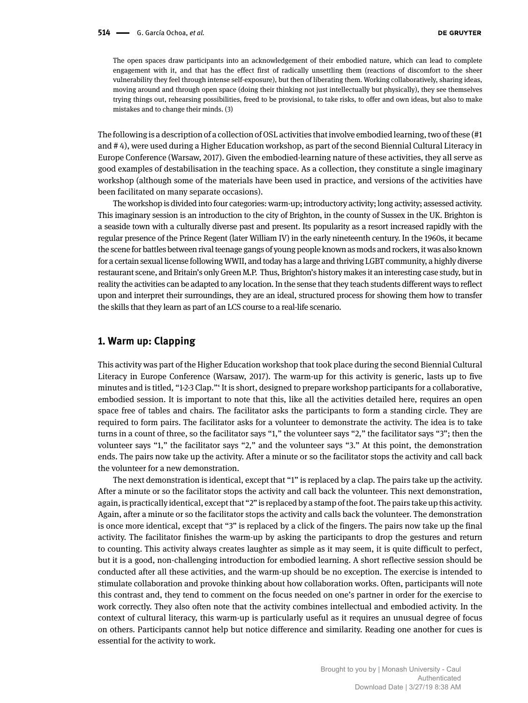The open spaces draw participants into an acknowledgement of their embodied nature, which can lead to complete engagement with it, and that has the effect first of radically unsettling them (reactions of discomfort to the sheer vulnerability they feel through intense self-exposure), but then of liberating them. Working collaboratively, sharing ideas, moving around and through open space (doing their thinking not just intellectually but physically), they see themselves trying things out, rehearsing possibilities, freed to be provisional, to take risks, to offer and own ideas, but also to make mistakes and to change their minds. (3)

The following is a description of a collection of OSL activities that involve embodied learning, two of these (#1 and # 4), were used during a Higher Education workshop, as part of the second Biennial Cultural Literacy in Europe Conference (Warsaw, 2017). Given the embodied-learning nature of these activities, they all serve as good examples of destabilisation in the teaching space. As a collection, they constitute a single imaginary workshop (although some of the materials have been used in practice, and versions of the activities have been facilitated on many separate occasions).

The workshop is divided into four categories: warm-up; introductory activity; long activity; assessed activity. This imaginary session is an introduction to the city of Brighton, in the county of Sussex in the UK. Brighton is a seaside town with a culturally diverse past and present. Its popularity as a resort increased rapidly with the regular presence of the Prince Regent (later William IV) in the early nineteenth century. In the 1960s, it became the scene for battles between rival teenage gangs of young people known as mods and rockers, it was also known for a certain sexual license following WWII, and today has a large and thriving LGBT community, a highly diverse restaurant scene, and Britain's only Green M.P. Thus, Brighton's history makes it an interesting case study, but in reality the activities can be adapted to any location. In the sense that they teach students different ways to reflect upon and interpret their surroundings, they are an ideal, structured process for showing them how to transfer the skills that they learn as part of an LCS course to a real-life scenario.

#### **1. Warm up: Clapping**

This activity was part of the Higher Education workshop that took place during the second Biennial Cultural Literacy in Europe Conference (Warsaw, 2017). The warm-up for this activity is generic, lasts up to five minutes and is titled, "1-2-3 Clap."' It is short, designed to prepare workshop participants for a collaborative, embodied session. It is important to note that this, like all the activities detailed here, requires an open space free of tables and chairs. The facilitator asks the participants to form a standing circle. They are required to form pairs. The facilitator asks for a volunteer to demonstrate the activity. The idea is to take turns in a count of three, so the facilitator says "1," the volunteer says "2," the facilitator says "3"; then the volunteer says "1," the facilitator says "2," and the volunteer says "3." At this point, the demonstration ends. The pairs now take up the activity. After a minute or so the facilitator stops the activity and call back the volunteer for a new demonstration.

The next demonstration is identical, except that "1" is replaced by a clap. The pairs take up the activity. After a minute or so the facilitator stops the activity and call back the volunteer. This next demonstration, again, is practically identical, except that "2" is replaced by a stamp of the foot. The pairs take up this activity. Again, after a minute or so the facilitator stops the activity and calls back the volunteer. The demonstration is once more identical, except that "3" is replaced by a click of the fingers. The pairs now take up the final activity. The facilitator finishes the warm-up by asking the participants to drop the gestures and return to counting. This activity always creates laughter as simple as it may seem, it is quite difficult to perfect, but it is a good, non-challenging introduction for embodied learning. A short reflective session should be conducted after all these activities, and the warm-up should be no exception. The exercise is intended to stimulate collaboration and provoke thinking about how collaboration works. Often, participants will note this contrast and, they tend to comment on the focus needed on one's partner in order for the exercise to work correctly. They also often note that the activity combines intellectual and embodied activity. In the context of cultural literacy, this warm-up is particularly useful as it requires an unusual degree of focus on others. Participants cannot help but notice difference and similarity. Reading one another for cues is essential for the activity to work.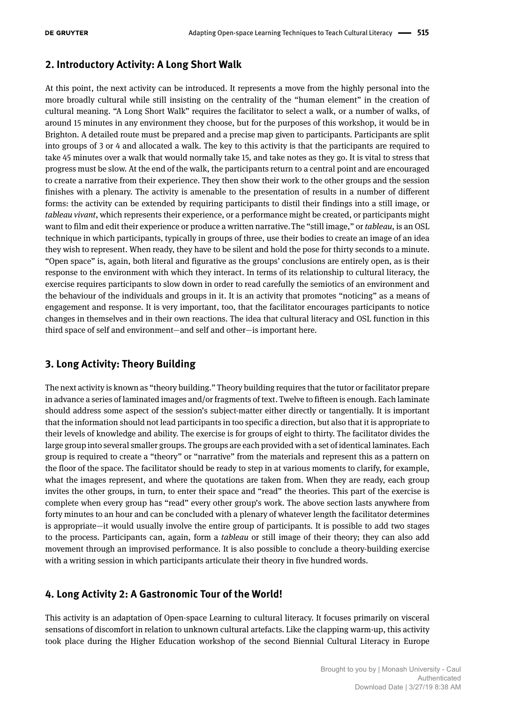## **2. Introductory Activity: A Long Short Walk**

At this point, the next activity can be introduced. It represents a move from the highly personal into the more broadly cultural while still insisting on the centrality of the "human element" in the creation of cultural meaning. "A Long Short Walk" requires the facilitator to select a walk, or a number of walks, of around 15 minutes in any environment they choose, but for the purposes of this workshop, it would be in Brighton. A detailed route must be prepared and a precise map given to participants. Participants are split into groups of 3 or 4 and allocated a walk. The key to this activity is that the participants are required to take 45 minutes over a walk that would normally take 15, and take notes as they go. It is vital to stress that progress must be slow. At the end of the walk, the participants return to a central point and are encouraged to create a narrative from their experience. They then show their work to the other groups and the session finishes with a plenary. The activity is amenable to the presentation of results in a number of different forms: the activity can be extended by requiring participants to distil their findings into a still image, or *tableau vivant*, which represents their experience, or a performance might be created, or participants might want to film and edit their experience or produce a written narrative.The "still image," or *tableau*, is an OSL technique in which participants, typically in groups of three, use their bodies to create an image of an idea they wish to represent. When ready, they have to be silent and hold the pose for thirty seconds to a minute. "Open space" is, again, both literal and figurative as the groups' conclusions are entirely open, as is their response to the environment with which they interact. In terms of its relationship to cultural literacy, the exercise requires participants to slow down in order to read carefully the semiotics of an environment and the behaviour of the individuals and groups in it. It is an activity that promotes "noticing" as a means of engagement and response. It is very important, too, that the facilitator encourages participants to notice changes in themselves and in their own reactions. The idea that cultural literacy and OSL function in this third space of self and environment—and self and other—is important here.

## **3. Long Activity: Theory Building**

The next activity is known as "theory building." Theory building requires that the tutor or facilitator prepare in advance a series of laminated images and/or fragments of text. Twelve to fifteen is enough. Each laminate should address some aspect of the session's subject-matter either directly or tangentially. It is important that the information should not lead participants in too specific a direction, but also that it is appropriate to their levels of knowledge and ability. The exercise is for groups of eight to thirty. The facilitator divides the large group into several smaller groups. The groups are each provided with a set of identical laminates. Each group is required to create a "theory" or "narrative" from the materials and represent this as a pattern on the floor of the space. The facilitator should be ready to step in at various moments to clarify, for example, what the images represent, and where the quotations are taken from. When they are ready, each group invites the other groups, in turn, to enter their space and "read" the theories. This part of the exercise is complete when every group has "read" every other group's work. The above section lasts anywhere from forty minutes to an hour and can be concluded with a plenary of whatever length the facilitator determines is appropriate—it would usually involve the entire group of participants. It is possible to add two stages to the process. Participants can, again, form a *tableau* or still image of their theory; they can also add movement through an improvised performance. It is also possible to conclude a theory-building exercise with a writing session in which participants articulate their theory in five hundred words.

### **4. Long Activity 2: A Gastronomic Tour of the World!**

This activity is an adaptation of Open-space Learning to cultural literacy. It focuses primarily on visceral sensations of discomfort in relation to unknown cultural artefacts. Like the clapping warm-up, this activity took place during the Higher Education workshop of the second Biennial Cultural Literacy in Europe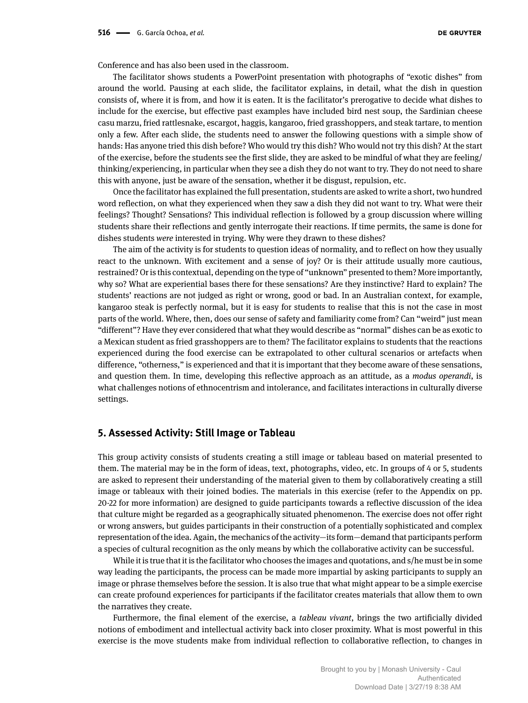Conference and has also been used in the classroom.

The facilitator shows students a PowerPoint presentation with photographs of "exotic dishes" from around the world. Pausing at each slide, the facilitator explains, in detail, what the dish in question consists of, where it is from, and how it is eaten. It is the facilitator's prerogative to decide what dishes to include for the exercise, but effective past examples have included bird nest soup, the Sardinian cheese casu marzu, fried rattlesnake, escargot, haggis, kangaroo, fried grasshoppers, and steak tartare, to mention only a few. After each slide, the students need to answer the following questions with a simple show of hands: Has anyone tried this dish before? Who would try this dish? Who would not try this dish? At the start of the exercise, before the students see the first slide, they are asked to be mindful of what they are feeling/ thinking/experiencing, in particular when they see a dish they do not want to try. They do not need to share this with anyone, just be aware of the sensation, whether it be disgust, repulsion, etc.

Once the facilitator has explained the full presentation, students are asked to write a short, two hundred word reflection, on what they experienced when they saw a dish they did not want to try. What were their feelings? Thought? Sensations? This individual reflection is followed by a group discussion where willing students share their reflections and gently interrogate their reactions. If time permits, the same is done for dishes students *were* interested in trying. Why were they drawn to these dishes?

The aim of the activity is for students to question ideas of normality, and to reflect on how they usually react to the unknown. With excitement and a sense of joy? Or is their attitude usually more cautious, restrained? Or is this contextual, depending on the type of "unknown" presented to them? More importantly, why so? What are experiential bases there for these sensations? Are they instinctive? Hard to explain? The students' reactions are not judged as right or wrong, good or bad. In an Australian context, for example, kangaroo steak is perfectly normal, but it is easy for students to realise that this is not the case in most parts of the world. Where, then, does our sense of safety and familiarity come from? Can "weird" just mean "different"? Have they ever considered that what they would describe as "normal" dishes can be as exotic to a Mexican student as fried grasshoppers are to them? The facilitator explains to students that the reactions experienced during the food exercise can be extrapolated to other cultural scenarios or artefacts when difference, "otherness," is experienced and that it is important that they become aware of these sensations, and question them. In time, developing this reflective approach as an attitude, as a *modus operandi*, is what challenges notions of ethnocentrism and intolerance, and facilitates interactions in culturally diverse settings.

#### **5. Assessed Activity: Still Image or Tableau**

This group activity consists of students creating a still image or tableau based on material presented to them. The material may be in the form of ideas, text, photographs, video, etc. In groups of 4 or 5, students are asked to represent their understanding of the material given to them by collaboratively creating a still image or tableaux with their joined bodies. The materials in this exercise (refer to the Appendix on pp. 20-22 for more information) are designed to guide participants towards a reflective discussion of the idea that culture might be regarded as a geographically situated phenomenon. The exercise does not offer right or wrong answers, but guides participants in their construction of a potentially sophisticated and complex representation of the idea. Again, the mechanics of the activity—its form—demand that participants perform a species of cultural recognition as the only means by which the collaborative activity can be successful.

While it is true that it is the facilitator who chooses the images and quotations, and s/he must be in some way leading the participants, the process can be made more impartial by asking participants to supply an image or phrase themselves before the session. It is also true that what might appear to be a simple exercise can create profound experiences for participants if the facilitator creates materials that allow them to own the narratives they create.

Furthermore, the final element of the exercise, a *tableau vivant*, brings the two artificially divided notions of embodiment and intellectual activity back into closer proximity. What is most powerful in this exercise is the move students make from individual reflection to collaborative reflection, to changes in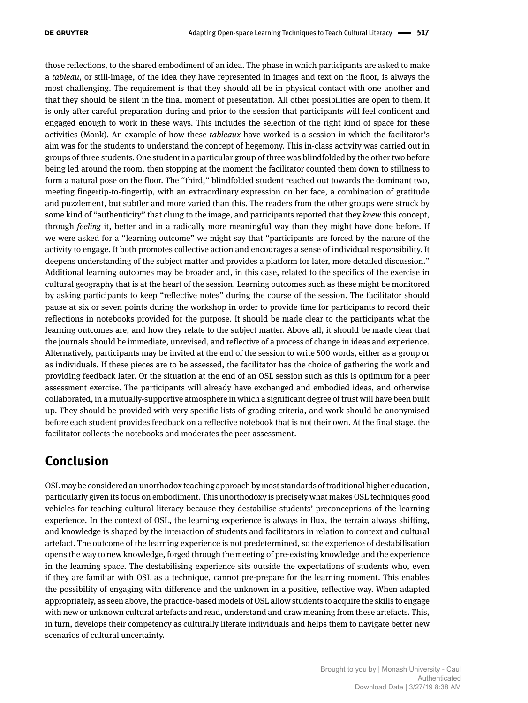those reflections, to the shared embodiment of an idea. The phase in which participants are asked to make a *tableau*, or still-image, of the idea they have represented in images and text on the floor, is always the most challenging. The requirement is that they should all be in physical contact with one another and that they should be silent in the final moment of presentation. All other possibilities are open to them. It is only after careful preparation during and prior to the session that participants will feel confident and engaged enough to work in these ways. This includes the selection of the right kind of space for these activities (Monk). An example of how these *tableaux* have worked is a session in which the facilitator's aim was for the students to understand the concept of hegemony. This in-class activity was carried out in groups of three students. One student in a particular group of three was blindfolded by the other two before being led around the room, then stopping at the moment the facilitator counted them down to stillness to form a natural pose on the floor. The "third," blindfolded student reached out towards the dominant two, meeting fingertip-to-fingertip, with an extraordinary expression on her face, a combination of gratitude and puzzlement, but subtler and more varied than this. The readers from the other groups were struck by some kind of "authenticity" that clung to the image, and participants reported that they *knew* this concept, through *feeling* it, better and in a radically more meaningful way than they might have done before. If we were asked for a "learning outcome" we might say that "participants are forced by the nature of the activity to engage. It both promotes collective action and encourages a sense of individual responsibility. It deepens understanding of the subject matter and provides a platform for later, more detailed discussion." Additional learning outcomes may be broader and, in this case, related to the specifics of the exercise in cultural geography that is at the heart of the session. Learning outcomes such as these might be monitored by asking participants to keep "reflective notes" during the course of the session. The facilitator should pause at six or seven points during the workshop in order to provide time for participants to record their reflections in notebooks provided for the purpose. It should be made clear to the participants what the learning outcomes are, and how they relate to the subject matter. Above all, it should be made clear that the journals should be immediate, unrevised, and reflective of a process of change in ideas and experience. Alternatively, participants may be invited at the end of the session to write 500 words, either as a group or as individuals. If these pieces are to be assessed, the facilitator has the choice of gathering the work and providing feedback later. Or the situation at the end of an OSL session such as this is optimum for a peer assessment exercise. The participants will already have exchanged and embodied ideas, and otherwise collaborated, in a mutually-supportive atmosphere in which a significant degree of trust will have been built up. They should be provided with very specific lists of grading criteria, and work should be anonymised before each student provides feedback on a reflective notebook that is not their own. At the final stage, the facilitator collects the notebooks and moderates the peer assessment.

# **Conclusion**

OSL may be considered an unorthodox teaching approach by most standards of traditional higher education, particularly given its focus on embodiment. This unorthodoxy is precisely what makes OSL techniques good vehicles for teaching cultural literacy because they destabilise students' preconceptions of the learning experience. In the context of OSL, the learning experience is always in flux, the terrain always shifting, and knowledge is shaped by the interaction of students and facilitators in relation to context and cultural artefact. The outcome of the learning experience is not predetermined, so the experience of destabilisation opens the way to new knowledge, forged through the meeting of pre-existing knowledge and the experience in the learning space. The destabilising experience sits outside the expectations of students who, even if they are familiar with OSL as a technique, cannot pre-prepare for the learning moment. This enables the possibility of engaging with difference and the unknown in a positive, reflective way. When adapted appropriately, as seen above, the practice-based models of OSL allow students to acquire the skills to engage with new or unknown cultural artefacts and read, understand and draw meaning from these artefacts. This, in turn, develops their competency as culturally literate individuals and helps them to navigate better new scenarios of cultural uncertainty.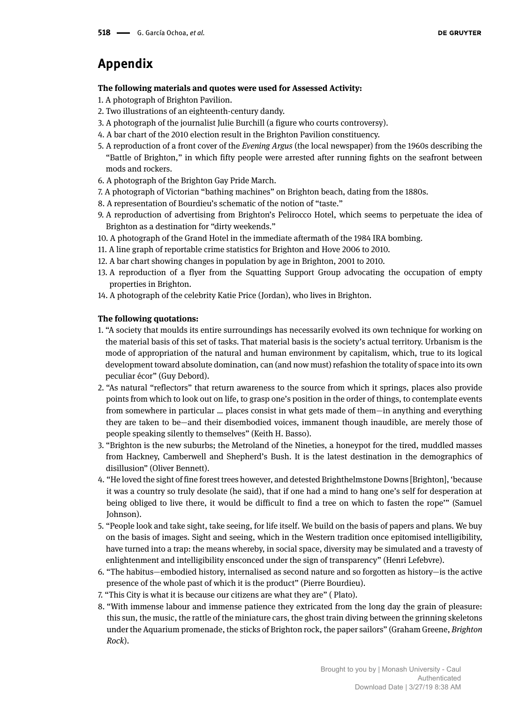# **Appendix**

#### **The following materials and quotes were used for Assessed Activity:**

- 1. A photograph of Brighton Pavilion.
- 2. Two illustrations of an eighteenth-century dandy.
- 3. A photograph of the journalist Julie Burchill (a figure who courts controversy).
- 4. A bar chart of the 2010 election result in the Brighton Pavilion constituency.
- 5. A reproduction of a front cover of the *Evening Argus* (the local newspaper) from the 1960s describing the "Battle of Brighton," in which fifty people were arrested after running fights on the seafront between mods and rockers.
- 6. A photograph of the Brighton Gay Pride March.
- 7. A photograph of Victorian "bathing machines" on Brighton beach, dating from the 1880s.
- 8. A representation of Bourdieu's schematic of the notion of "taste."
- 9. A reproduction of advertising from Brighton's Pelirocco Hotel, which seems to perpetuate the idea of Brighton as a destination for "dirty weekends."
- 10. A photograph of the Grand Hotel in the immediate aftermath of the 1984 IRA bombing.
- 11. A line graph of reportable crime statistics for Brighton and Hove 2006 to 2010.
- 12. A bar chart showing changes in population by age in Brighton, 2001 to 2010.
- 13. A reproduction of a flyer from the Squatting Support Group advocating the occupation of empty properties in Brighton.
- 14. A photograph of the celebrity Katie Price (Jordan), who lives in Brighton.

#### **The following quotations:**

- 1. "A society that moulds its entire surroundings has necessarily evolved its own technique for working on the material basis of this set of tasks. That material basis is the society's actual territory. Urbanism is the mode of appropriation of the natural and human environment by capitalism, which, true to its logical development toward absolute domination, can (and now must) refashion the totality of space into its own peculiar écor" (Guy Debord).
- 2. "As natural "reflectors" that return awareness to the source from which it springs, places also provide points from which to look out on life, to grasp one's position in the order of things, to contemplate events from somewhere in particular … places consist in what gets made of them—in anything and everything they are taken to be—and their disembodied voices, immanent though inaudible, are merely those of people speaking silently to themselves" (Keith H. Basso).
- 3. "Brighton is the new suburbs; the Metroland of the Nineties, a honeypot for the tired, muddled masses from Hackney, Camberwell and Shepherd's Bush. It is the latest destination in the demographics of disillusion" (Oliver Bennett).
- 4. "He loved the sight of fine forest trees however, and detested Brighthelmstone Downs [Brighton], 'because it was a country so truly desolate (he said), that if one had a mind to hang one's self for desperation at being obliged to live there, it would be difficult to find a tree on which to fasten the rope'" (Samuel Johnson).
- 5. "People look and take sight, take seeing, for life itself. We build on the basis of papers and plans. We buy on the basis of images. Sight and seeing, which in the Western tradition once epitomised intelligibility, have turned into a trap: the means whereby, in social space, diversity may be simulated and a travesty of enlightenment and intelligibility ensconced under the sign of transparency" (Henri Lefebvre).
- 6. "The habitus—embodied history, internalised as second nature and so forgotten as history—is the active presence of the whole past of which it is the product" (Pierre Bourdieu).
- 7. "This City is what it is because our citizens are what they are" ( Plato).
- 8. "With immense labour and immense patience they extricated from the long day the grain of pleasure: this sun, the music, the rattle of the miniature cars, the ghost train diving between the grinning skeletons under the Aquarium promenade, the sticks of Brighton rock, the paper sailors" (Graham Greene, *Brighton Rock*).